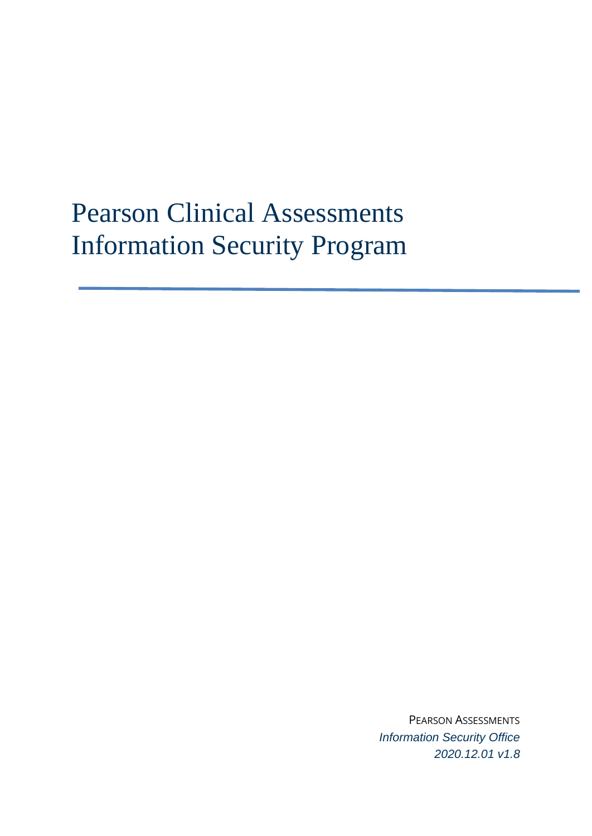# Pearson Clinical Assessments Information Security Program

PEARSON ASSESSMENTS *Information Security Office 2020.12.01 v1.8*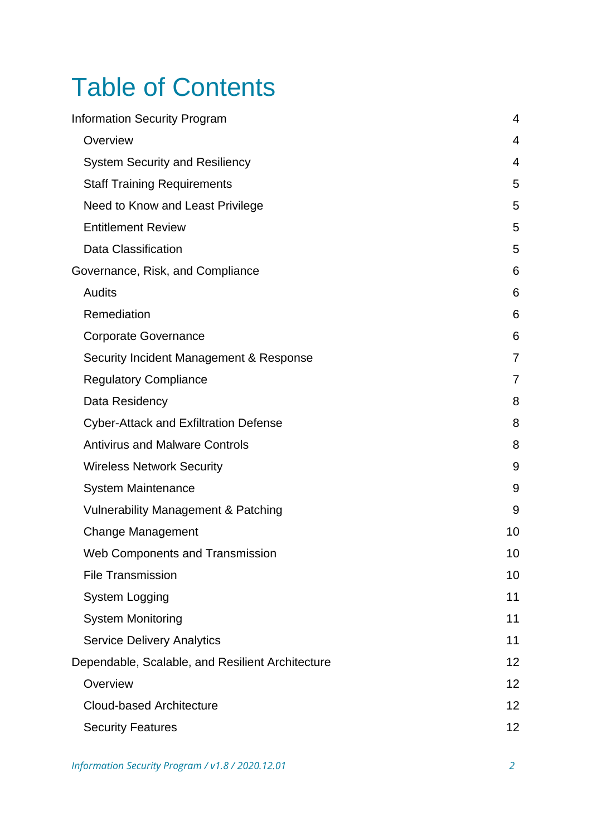# Table of Contents

| <b>Information Security Program</b>              | $\overline{4}$ |
|--------------------------------------------------|----------------|
| Overview                                         | 4              |
| <b>System Security and Resiliency</b>            | 4              |
| <b>Staff Training Requirements</b>               | 5              |
| Need to Know and Least Privilege                 | 5              |
| <b>Entitlement Review</b>                        | 5              |
| <b>Data Classification</b>                       | 5              |
| Governance, Risk, and Compliance                 | 6              |
| <b>Audits</b>                                    | 6              |
| Remediation                                      | 6              |
| <b>Corporate Governance</b>                      | 6              |
| Security Incident Management & Response          | 7              |
| <b>Regulatory Compliance</b>                     | $\overline{7}$ |
| Data Residency                                   | 8              |
| <b>Cyber-Attack and Exfiltration Defense</b>     | 8              |
| <b>Antivirus and Malware Controls</b>            | 8              |
| <b>Wireless Network Security</b>                 | 9              |
| <b>System Maintenance</b>                        | 9              |
| <b>Vulnerability Management &amp; Patching</b>   | 9              |
| <b>Change Management</b>                         | 10             |
| <b>Web Components and Transmission</b>           | 10             |
| <b>File Transmission</b>                         | 10             |
| <b>System Logging</b>                            | 11             |
| <b>System Monitoring</b>                         | 11             |
| <b>Service Delivery Analytics</b>                | 11             |
| Dependable, Scalable, and Resilient Architecture | 12             |
| Overview                                         | 12             |
| <b>Cloud-based Architecture</b>                  | 12             |
| <b>Security Features</b>                         | 12             |
|                                                  |                |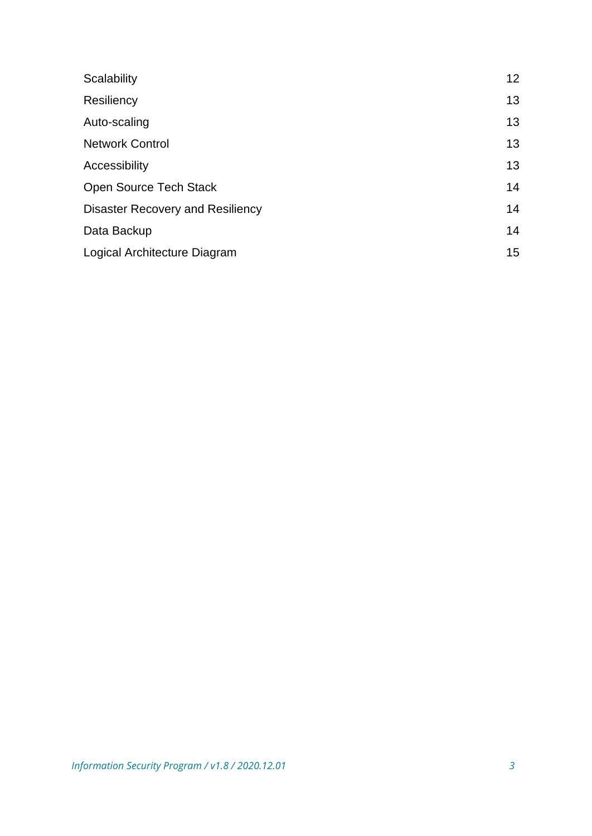| Scalability                      | 12 <sup>2</sup> |
|----------------------------------|-----------------|
| Resiliency                       | 13              |
| Auto-scaling                     | 13              |
| <b>Network Control</b>           | 13              |
| Accessibility                    | 13              |
| Open Source Tech Stack           | 14              |
| Disaster Recovery and Resiliency | 14              |
| Data Backup                      | 14              |
| Logical Architecture Diagram     | 15              |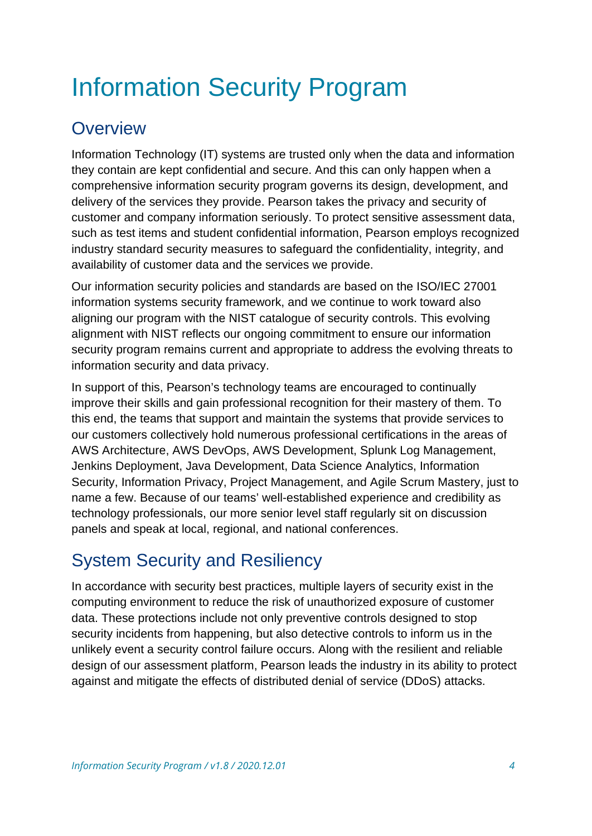# <span id="page-3-0"></span>Information Security Program

## <span id="page-3-1"></span>**Overview**

Information Technology (IT) systems are trusted only when the data and information they contain are kept confidential and secure. And this can only happen when a comprehensive information security program governs its design, development, and delivery of the services they provide. Pearson takes the privacy and security of customer and company information seriously. To protect sensitive assessment data, such as test items and student confidential information, Pearson employs recognized industry standard security measures to safeguard the confidentiality, integrity, and availability of customer data and the services we provide.

Our information security policies and standards are based on the ISO/IEC 27001 information systems security framework, and we continue to work toward also aligning our program with the NIST catalogue of security controls. This evolving alignment with NIST reflects our ongoing commitment to ensure our information security program remains current and appropriate to address the evolving threats to information security and data privacy.

In support of this, Pearson's technology teams are encouraged to continually improve their skills and gain professional recognition for their mastery of them. To this end, the teams that support and maintain the systems that provide services to our customers collectively hold numerous professional certifications in the areas of AWS Architecture, AWS DevOps, AWS Development, Splunk Log Management, Jenkins Deployment, Java Development, Data Science Analytics, Information Security, Information Privacy, Project Management, and Agile Scrum Mastery, just to name a few. Because of our teams' well-established experience and credibility as technology professionals, our more senior level staff regularly sit on discussion panels and speak at local, regional, and national conferences.

# <span id="page-3-2"></span>System Security and Resiliency

In accordance with security best practices, multiple layers of security exist in the computing environment to reduce the risk of unauthorized exposure of customer data. These protections include not only preventive controls designed to stop security incidents from happening, but also detective controls to inform us in the unlikely event a security control failure occurs. Along with the resilient and reliable design of our assessment platform, Pearson leads the industry in its ability to protect against and mitigate the effects of distributed denial of service (DDoS) attacks.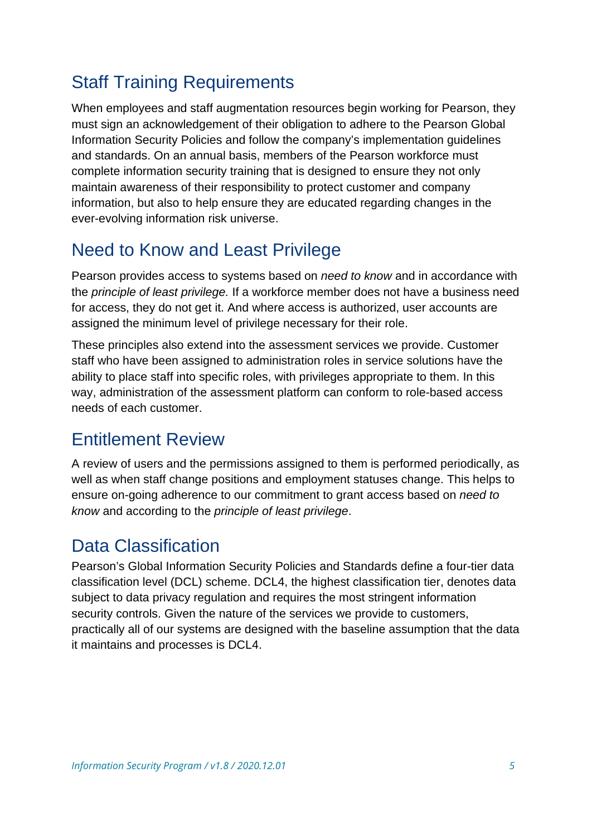## <span id="page-4-0"></span>Staff Training Requirements

When employees and staff augmentation resources begin working for Pearson, they must sign an acknowledgement of their obligation to adhere to the Pearson Global Information Security Policies and follow the company's implementation guidelines and standards. On an annual basis, members of the Pearson workforce must complete information security training that is designed to ensure they not only maintain awareness of their responsibility to protect customer and company information, but also to help ensure they are educated regarding changes in the ever-evolving information risk universe.

## <span id="page-4-1"></span>Need to Know and Least Privilege

Pearson provides access to systems based on *need to know* and in accordance with the *principle of least privilege.* If a workforce member does not have a business need for access, they do not get it. And where access is authorized, user accounts are assigned the minimum level of privilege necessary for their role.

These principles also extend into the assessment services we provide. Customer staff who have been assigned to administration roles in service solutions have the ability to place staff into specific roles, with privileges appropriate to them. In this way, administration of the assessment platform can conform to role-based access needs of each customer.

#### <span id="page-4-2"></span>Entitlement Review

A review of users and the permissions assigned to them is performed periodically, as well as when staff change positions and employment statuses change. This helps to ensure on-going adherence to our commitment to grant access based on *need to know* and according to the *principle of least privilege*.

## <span id="page-4-3"></span>Data Classification

Pearson's Global Information Security Policies and Standards define a four-tier data classification level (DCL) scheme. DCL4, the highest classification tier, denotes data subject to data privacy regulation and requires the most stringent information security controls. Given the nature of the services we provide to customers, practically all of our systems are designed with the baseline assumption that the data it maintains and processes is DCL4.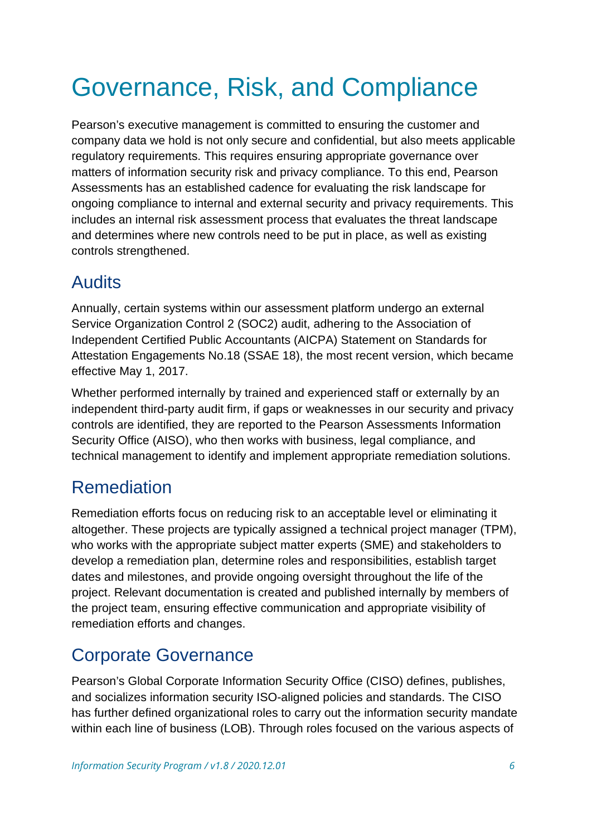# <span id="page-5-0"></span>Governance, Risk, and Compliance

Pearson's executive management is committed to ensuring the customer and company data we hold is not only secure and confidential, but also meets applicable regulatory requirements. This requires ensuring appropriate governance over matters of information security risk and privacy compliance. To this end, Pearson Assessments has an established cadence for evaluating the risk landscape for ongoing compliance to internal and external security and privacy requirements. This includes an internal risk assessment process that evaluates the threat landscape and determines where new controls need to be put in place, as well as existing controls strengthened.

### <span id="page-5-1"></span>Audits

Annually, certain systems within our assessment platform undergo an external Service Organization Control 2 (SOC2) audit, adhering to the Association of Independent Certified Public Accountants (AICPA) Statement on Standards for Attestation Engagements No.18 (SSAE 18), the most recent version, which became effective May 1, 2017.

Whether performed internally by trained and experienced staff or externally by an independent third-party audit firm, if gaps or weaknesses in our security and privacy controls are identified, they are reported to the Pearson Assessments Information Security Office (AISO), who then works with business, legal compliance, and technical management to identify and implement appropriate remediation solutions.

# <span id="page-5-2"></span>Remediation

Remediation efforts focus on reducing risk to an acceptable level or eliminating it altogether. These projects are typically assigned a technical project manager (TPM), who works with the appropriate subject matter experts (SME) and stakeholders to develop a remediation plan, determine roles and responsibilities, establish target dates and milestones, and provide ongoing oversight throughout the life of the project. Relevant documentation is created and published internally by members of the project team, ensuring effective communication and appropriate visibility of remediation efforts and changes.

## <span id="page-5-3"></span>Corporate Governance

Pearson's Global Corporate Information Security Office (CISO) defines, publishes, and socializes information security ISO-aligned policies and standards. The CISO has further defined organizational roles to carry out the information security mandate within each line of business (LOB). Through roles focused on the various aspects of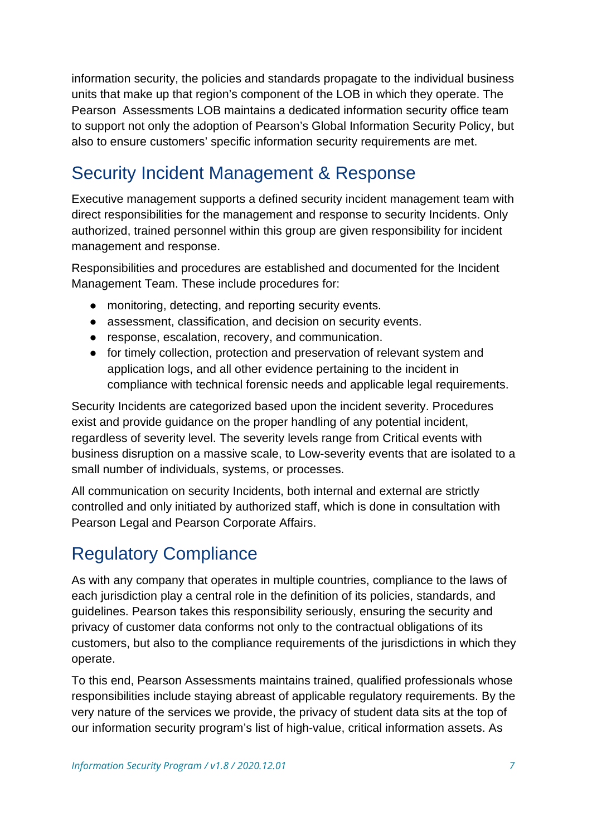information security, the policies and standards propagate to the individual business units that make up that region's component of the LOB in which they operate. The Pearson Assessments LOB maintains a dedicated information security office team to support not only the adoption of Pearson's Global Information Security Policy, but also to ensure customers' specific information security requirements are met.

## <span id="page-6-0"></span>Security Incident Management & Response

Executive management supports a defined security incident management team with direct responsibilities for the management and response to security Incidents. Only authorized, trained personnel within this group are given responsibility for incident management and response.

Responsibilities and procedures are established and documented for the Incident Management Team. These include procedures for:

- monitoring, detecting, and reporting security events.
- assessment, classification, and decision on security events.
- response, escalation, recovery, and communication.
- for timely collection, protection and preservation of relevant system and application logs, and all other evidence pertaining to the incident in compliance with technical forensic needs and applicable legal requirements.

Security Incidents are categorized based upon the incident severity. Procedures exist and provide guidance on the proper handling of any potential incident, regardless of severity level. The severity levels range from Critical events with business disruption on a massive scale, to Low-severity events that are isolated to a small number of individuals, systems, or processes.

All communication on security Incidents, both internal and external are strictly controlled and only initiated by authorized staff, which is done in consultation with Pearson Legal and Pearson Corporate Affairs.

# <span id="page-6-1"></span>Regulatory Compliance

As with any company that operates in multiple countries, compliance to the laws of each jurisdiction play a central role in the definition of its policies, standards, and guidelines. Pearson takes this responsibility seriously, ensuring the security and privacy of customer data conforms not only to the contractual obligations of its customers, but also to the compliance requirements of the jurisdictions in which they operate.

To this end, Pearson Assessments maintains trained, qualified professionals whose responsibilities include staying abreast of applicable regulatory requirements. By the very nature of the services we provide, the privacy of student data sits at the top of our information security program's list of high-value, critical information assets. As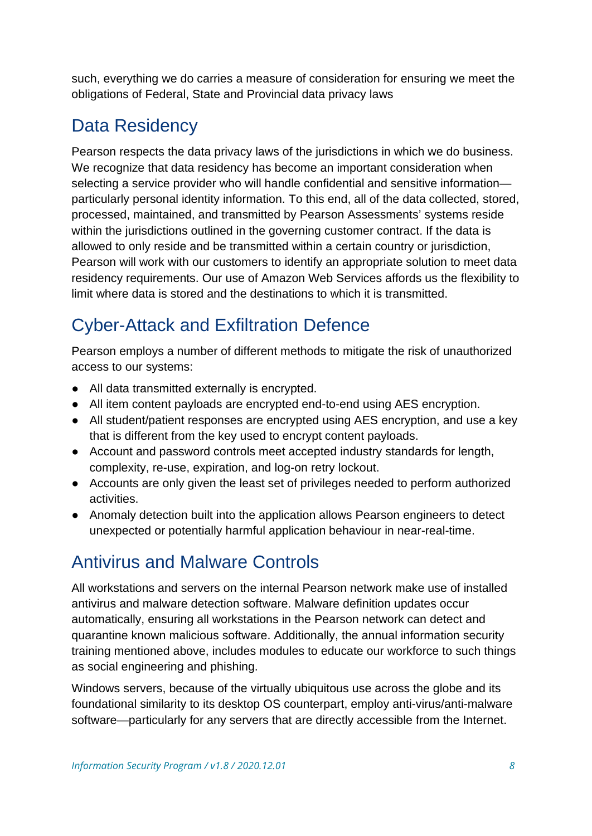such, everything we do carries a measure of consideration for ensuring we meet the obligations of Federal, State and Provincial data privacy laws

## <span id="page-7-0"></span>Data Residency

Pearson respects the data privacy laws of the jurisdictions in which we do business. We recognize that data residency has become an important consideration when selecting a service provider who will handle confidential and sensitive information particularly personal identity information. To this end, all of the data collected, stored, processed, maintained, and transmitted by Pearson Assessments' systems reside within the jurisdictions outlined in the governing customer contract. If the data is allowed to only reside and be transmitted within a certain country or jurisdiction, Pearson will work with our customers to identify an appropriate solution to meet data residency requirements. Our use of Amazon Web Services affords us the flexibility to limit where data is stored and the destinations to which it is transmitted.

# <span id="page-7-1"></span>Cyber-Attack and Exfiltration Defence

Pearson employs a number of different methods to mitigate the risk of unauthorized access to our systems:

- All data transmitted externally is encrypted.
- All item content payloads are encrypted end-to-end using AES encryption.
- All student/patient responses are encrypted using AES encryption, and use a key that is different from the key used to encrypt content payloads.
- Account and password controls meet accepted industry standards for length, complexity, re-use, expiration, and log-on retry lockout.
- Accounts are only given the least set of privileges needed to perform authorized activities.
- Anomaly detection built into the application allows Pearson engineers to detect unexpected or potentially harmful application behaviour in near-real-time.

## <span id="page-7-2"></span>Antivirus and Malware Controls

All workstations and servers on the internal Pearson network make use of installed antivirus and malware detection software. Malware definition updates occur automatically, ensuring all workstations in the Pearson network can detect and quarantine known malicious software. Additionally, the annual information security training mentioned above, includes modules to educate our workforce to such things as social engineering and phishing.

Windows servers, because of the virtually ubiquitous use across the globe and its foundational similarity to its desktop OS counterpart, employ anti-virus/anti-malware software—particularly for any servers that are directly accessible from the Internet.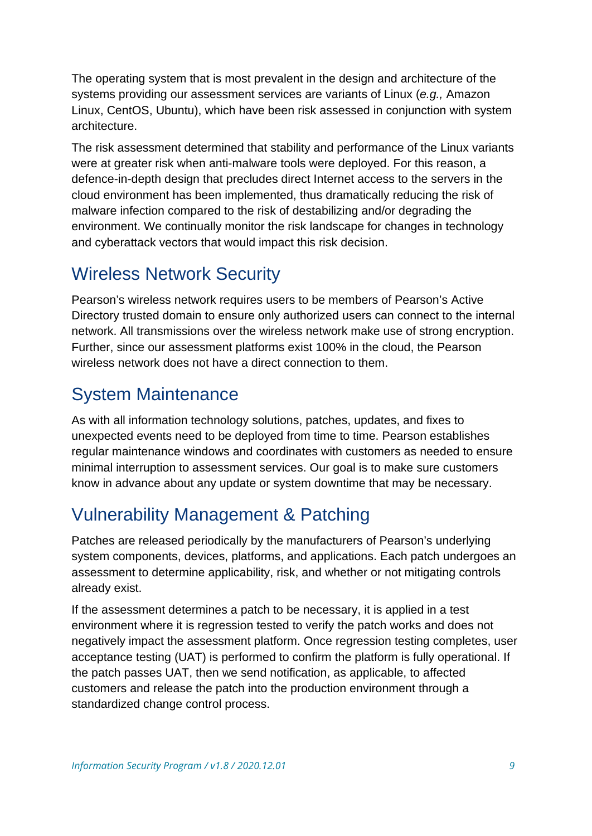The operating system that is most prevalent in the design and architecture of the systems providing our assessment services are variants of Linux (*e.g.,* Amazon Linux, CentOS, Ubuntu), which have been risk assessed in conjunction with system architecture.

The risk assessment determined that stability and performance of the Linux variants were at greater risk when anti-malware tools were deployed. For this reason, a defence-in-depth design that precludes direct Internet access to the servers in the cloud environment has been implemented, thus dramatically reducing the risk of malware infection compared to the risk of destabilizing and/or degrading the environment. We continually monitor the risk landscape for changes in technology and cyberattack vectors that would impact this risk decision.

### <span id="page-8-0"></span>Wireless Network Security

Pearson's wireless network requires users to be members of Pearson's Active Directory trusted domain to ensure only authorized users can connect to the internal network. All transmissions over the wireless network make use of strong encryption. Further, since our assessment platforms exist 100% in the cloud, the Pearson wireless network does not have a direct connection to them.

# <span id="page-8-1"></span>System Maintenance

As with all information technology solutions, patches, updates, and fixes to unexpected events need to be deployed from time to time. Pearson establishes regular maintenance windows and coordinates with customers as needed to ensure minimal interruption to assessment services. Our goal is to make sure customers know in advance about any update or system downtime that may be necessary.

# <span id="page-8-2"></span>Vulnerability Management & Patching

Patches are released periodically by the manufacturers of Pearson's underlying system components, devices, platforms, and applications. Each patch undergoes an assessment to determine applicability, risk, and whether or not mitigating controls already exist.

If the assessment determines a patch to be necessary, it is applied in a test environment where it is regression tested to verify the patch works and does not negatively impact the assessment platform. Once regression testing completes, user acceptance testing (UAT) is performed to confirm the platform is fully operational. If the patch passes UAT, then we send notification, as applicable, to affected customers and release the patch into the production environment through a standardized change control process.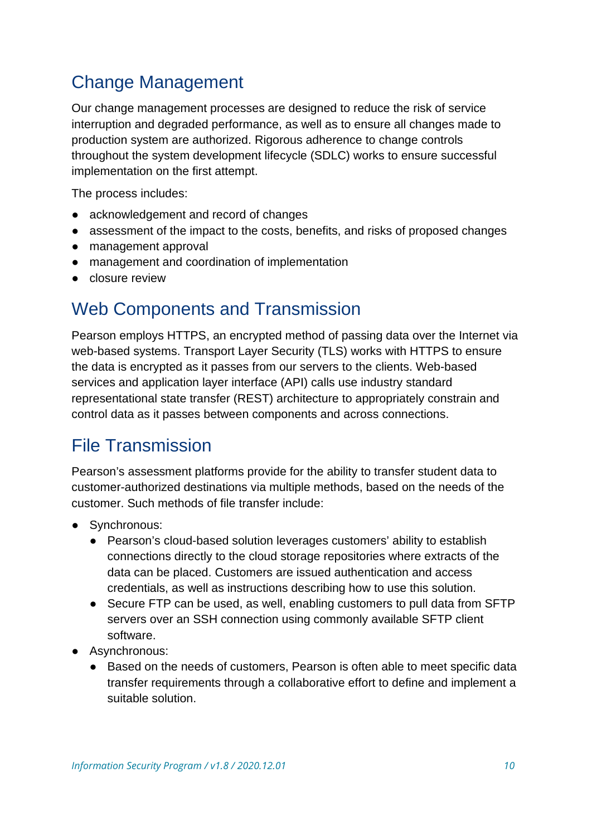# <span id="page-9-0"></span>Change Management

Our change management processes are designed to reduce the risk of service interruption and degraded performance, as well as to ensure all changes made to production system are authorized. Rigorous adherence to change controls throughout the system development lifecycle (SDLC) works to ensure successful implementation on the first attempt.

The process includes:

- acknowledgement and record of changes
- assessment of the impact to the costs, benefits, and risks of proposed changes
- management approval
- management and coordination of implementation
- closure review

#### <span id="page-9-1"></span>Web Components and Transmission

Pearson employs HTTPS, an encrypted method of passing data over the Internet via web-based systems. Transport Layer Security (TLS) works with HTTPS to ensure the data is encrypted as it passes from our servers to the clients. Web-based services and application layer interface (API) calls use industry standard representational state transfer (REST) architecture to appropriately constrain and control data as it passes between components and across connections.

#### <span id="page-9-2"></span>File Transmission

Pearson's assessment platforms provide for the ability to transfer student data to customer-authorized destinations via multiple methods, based on the needs of the customer. Such methods of file transfer include:

- Synchronous:
	- Pearson's cloud-based solution leverages customers' ability to establish connections directly to the cloud storage repositories where extracts of the data can be placed. Customers are issued authentication and access credentials, as well as instructions describing how to use this solution.
	- Secure FTP can be used, as well, enabling customers to pull data from SFTP servers over an SSH connection using commonly available SFTP client software.
- Asynchronous:
	- Based on the needs of customers, Pearson is often able to meet specific data transfer requirements through a collaborative effort to define and implement a suitable solution.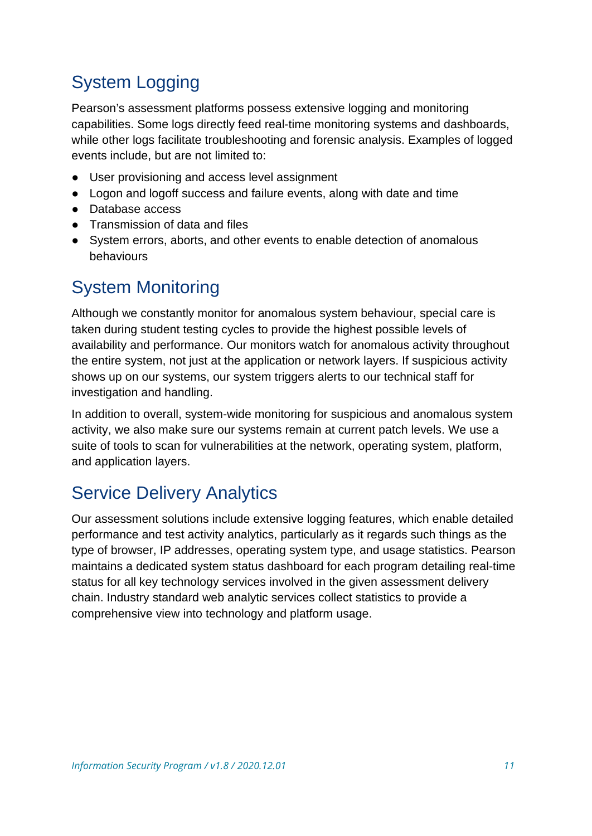# <span id="page-10-0"></span>System Logging

Pearson's assessment platforms possess extensive logging and monitoring capabilities. Some logs directly feed real-time monitoring systems and dashboards, while other logs facilitate troubleshooting and forensic analysis. Examples of logged events include, but are not limited to:

- User provisioning and access level assignment
- Logon and logoff success and failure events, along with date and time
- Database access
- Transmission of data and files
- System errors, aborts, and other events to enable detection of anomalous behaviours

## <span id="page-10-1"></span>System Monitoring

Although we constantly monitor for anomalous system behaviour, special care is taken during student testing cycles to provide the highest possible levels of availability and performance. Our monitors watch for anomalous activity throughout the entire system, not just at the application or network layers. If suspicious activity shows up on our systems, our system triggers alerts to our technical staff for investigation and handling.

In addition to overall, system-wide monitoring for suspicious and anomalous system activity, we also make sure our systems remain at current patch levels. We use a suite of tools to scan for vulnerabilities at the network, operating system, platform, and application layers.

# <span id="page-10-2"></span>Service Delivery Analytics

Our assessment solutions include extensive logging features, which enable detailed performance and test activity analytics, particularly as it regards such things as the type of browser, IP addresses, operating system type, and usage statistics. Pearson maintains a dedicated system status dashboard for each program detailing real-time status for all key technology services involved in the given assessment delivery chain. Industry standard web analytic services collect statistics to provide a comprehensive view into technology and platform usage.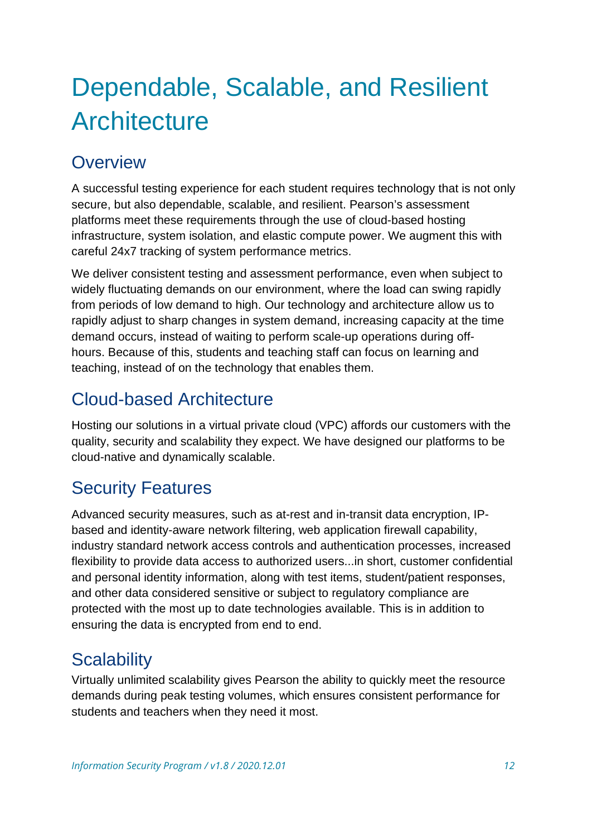# <span id="page-11-0"></span>Dependable, Scalable, and Resilient **Architecture**

## <span id="page-11-1"></span>**Overview**

A successful testing experience for each student requires technology that is not only secure, but also dependable, scalable, and resilient. Pearson's assessment platforms meet these requirements through the use of cloud-based hosting infrastructure, system isolation, and elastic compute power. We augment this with careful 24x7 tracking of system performance metrics.

We deliver consistent testing and assessment performance, even when subject to widely fluctuating demands on our environment, where the load can swing rapidly from periods of low demand to high. Our technology and architecture allow us to rapidly adjust to sharp changes in system demand, increasing capacity at the time demand occurs, instead of waiting to perform scale-up operations during offhours. Because of this, students and teaching staff can focus on learning and teaching, instead of on the technology that enables them.

### <span id="page-11-2"></span>Cloud-based Architecture

Hosting our solutions in a virtual private cloud (VPC) affords our customers with the quality, security and scalability they expect. We have designed our platforms to be cloud-native and dynamically scalable.

# <span id="page-11-3"></span>Security Features

Advanced security measures, such as at-rest and in-transit data encryption, IPbased and identity-aware network filtering, web application firewall capability, industry standard network access controls and authentication processes, increased flexibility to provide data access to authorized users...in short, customer confidential and personal identity information, along with test items, student/patient responses, and other data considered sensitive or subject to regulatory compliance are protected with the most up to date technologies available. This is in addition to ensuring the data is encrypted from end to end.

## <span id="page-11-4"></span>**Scalability**

Virtually unlimited scalability gives Pearson the ability to quickly meet the resource demands during peak testing volumes, which ensures consistent performance for students and teachers when they need it most.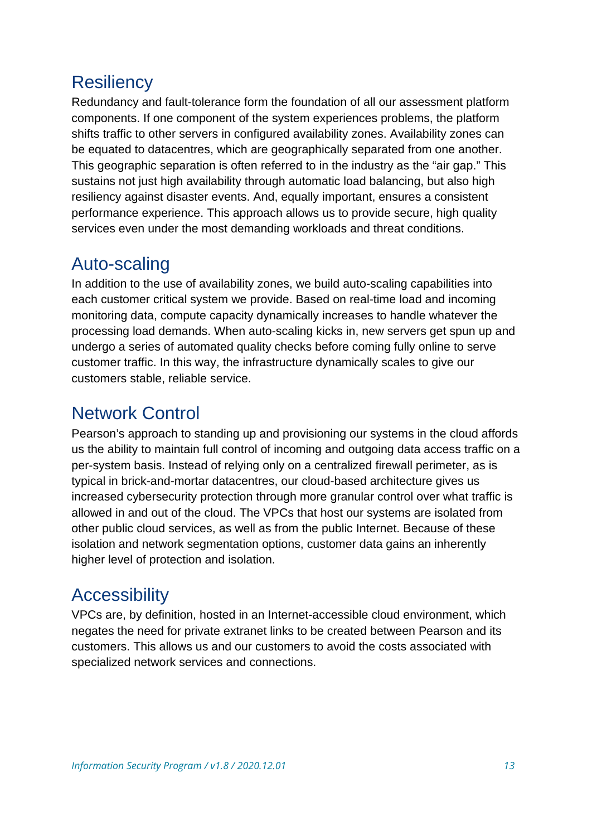#### <span id="page-12-0"></span>**Resiliency**

Redundancy and fault-tolerance form the foundation of all our assessment platform components. If one component of the system experiences problems, the platform shifts traffic to other servers in configured availability zones. Availability zones can be equated to datacentres, which are geographically separated from one another. This geographic separation is often referred to in the industry as the "air gap." This sustains not just high availability through automatic load balancing, but also high resiliency against disaster events. And, equally important, ensures a consistent performance experience. This approach allows us to provide secure, high quality services even under the most demanding workloads and threat conditions.

### <span id="page-12-1"></span>Auto-scaling

In addition to the use of availability zones, we build auto-scaling capabilities into each customer critical system we provide. Based on real-time load and incoming monitoring data, compute capacity dynamically increases to handle whatever the processing load demands. When auto-scaling kicks in, new servers get spun up and undergo a series of automated quality checks before coming fully online to serve customer traffic. In this way, the infrastructure dynamically scales to give our customers stable, reliable service.

### <span id="page-12-2"></span>Network Control

Pearson's approach to standing up and provisioning our systems in the cloud affords us the ability to maintain full control of incoming and outgoing data access traffic on a per-system basis. Instead of relying only on a centralized firewall perimeter, as is typical in brick-and-mortar datacentres, our cloud-based architecture gives us increased cybersecurity protection through more granular control over what traffic is allowed in and out of the cloud. The VPCs that host our systems are isolated from other public cloud services, as well as from the public Internet. Because of these isolation and network segmentation options, customer data gains an inherently higher level of protection and isolation.

#### <span id="page-12-3"></span>**Accessibility**

VPCs are, by definition, hosted in an Internet-accessible cloud environment, which negates the need for private extranet links to be created between Pearson and its customers. This allows us and our customers to avoid the costs associated with specialized network services and connections.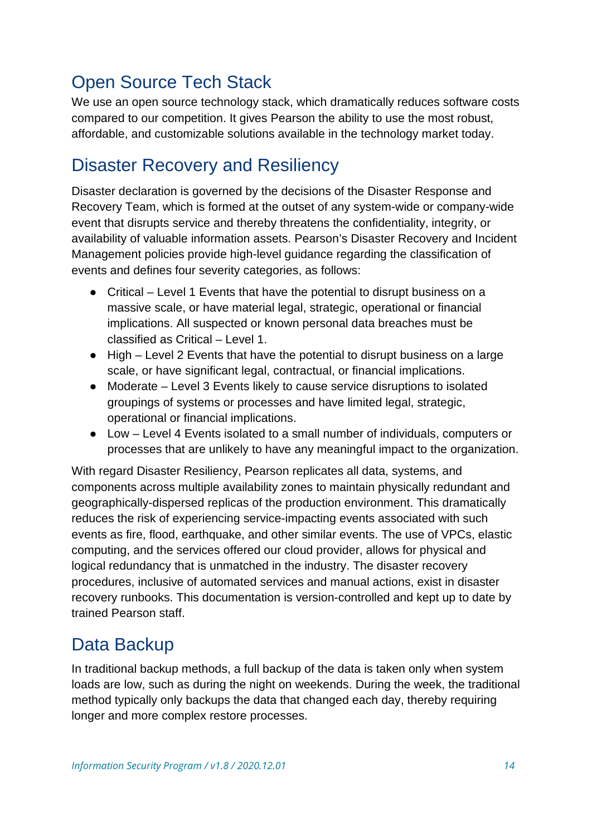# <span id="page-13-0"></span>Open Source Tech Stack

We use an open source technology stack, which dramatically reduces software costs compared to our competition. It gives Pearson the ability to use the most robust, affordable, and customizable solutions available in the technology market today.

## <span id="page-13-1"></span>Disaster Recovery and Resiliency

Disaster declaration is governed by the decisions of the Disaster Response and Recovery Team, which is formed at the outset of any system-wide or company-wide event that disrupts service and thereby threatens the confidentiality, integrity, or availability of valuable information assets. Pearson's Disaster Recovery and Incident Management policies provide high-level guidance regarding the classification of events and defines four severity categories, as follows:

- Critical Level 1 Events that have the potential to disrupt business on a massive scale, or have material legal, strategic, operational or financial implications. All suspected or known personal data breaches must be classified as Critical – Level 1.
- High Level 2 Events that have the potential to disrupt business on a large scale, or have significant legal, contractual, or financial implications.
- Moderate Level 3 Events likely to cause service disruptions to isolated groupings of systems or processes and have limited legal, strategic, operational or financial implications.
- Low Level 4 Events isolated to a small number of individuals, computers or processes that are unlikely to have any meaningful impact to the organization.

With regard Disaster Resiliency, Pearson replicates all data, systems, and components across multiple availability zones to maintain physically redundant and geographically-dispersed replicas of the production environment. This dramatically reduces the risk of experiencing service-impacting events associated with such events as fire, flood, earthquake, and other similar events. The use of VPCs, elastic computing, and the services offered our cloud provider, allows for physical and logical redundancy that is unmatched in the industry. The disaster recovery procedures, inclusive of automated services and manual actions, exist in disaster recovery runbooks. This documentation is version-controlled and kept up to date by trained Pearson staff.

## <span id="page-13-2"></span>Data Backup

In traditional backup methods, a full backup of the data is taken only when system loads are low, such as during the night on weekends. During the week, the traditional method typically only backups the data that changed each day, thereby requiring longer and more complex restore processes.